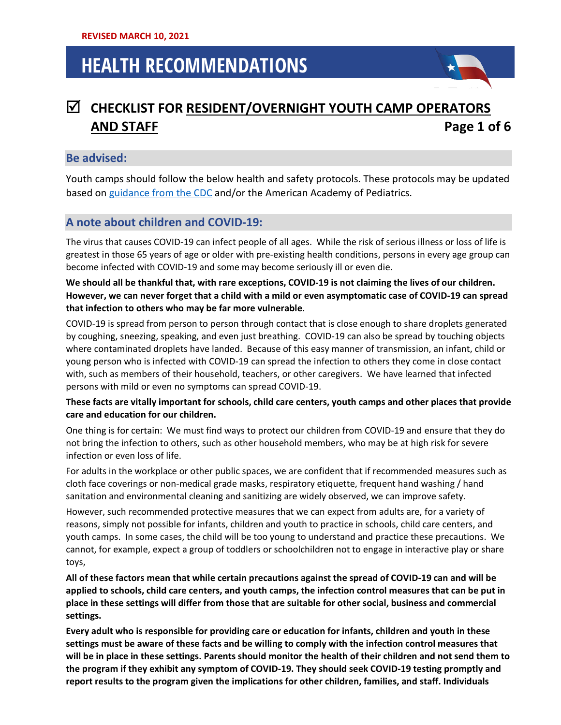## **CHECKLIST FOR RESIDENT/OVERNIGHT YOUTH CAMP OPERATORS AND STAFF Page 1 of 6**

#### **Be advised:**

Youth camps should follow the below health and safety protocols. These protocols may be updated based on [guidance from the CDC](https://www.cdc.gov/coronavirus/2019-ncov/community/schools-childcare/summer-camps.html) and/or the American Academy of Pediatrics.

### **A note about children and COVID-19:**

The virus that causes COVID-19 can infect people of all ages. While the risk of serious illness or loss of life is greatest in those 65 years of age or older with pre-existing health conditions, persons in every age group can become infected with COVID-19 and some may become seriously ill or even die.

**We should all be thankful that, with rare exceptions, COVID-19 is not claiming the lives of our children. However, we can never forget that a child with a mild or even asymptomatic case of COVID-19 can spread that infection to others who may be far more vulnerable.**

COVID-19 is spread from person to person through contact that is close enough to share droplets generated by coughing, sneezing, speaking, and even just breathing. COVID-19 can also be spread by touching objects where contaminated droplets have landed. Because of this easy manner of transmission, an infant, child or young person who is infected with COVID-19 can spread the infection to others they come in close contact with, such as members of their household, teachers, or other caregivers. We have learned that infected persons with mild or even no symptoms can spread COVID-19.

#### **These facts are vitally important for schools, child care centers, youth camps and other places that provide care and education for our children.**

One thing is for certain: We must find ways to protect our children from COVID-19 and ensure that they do not bring the infection to others, such as other household members, who may be at high risk for severe infection or even loss of life.

For adults in the workplace or other public spaces, we are confident that if recommended measures such as cloth face coverings or non-medical grade masks, respiratory etiquette, frequent hand washing / hand sanitation and environmental cleaning and sanitizing are widely observed, we can improve safety.

However, such recommended protective measures that we can expect from adults are, for a variety of reasons, simply not possible for infants, children and youth to practice in schools, child care centers, and youth camps. In some cases, the child will be too young to understand and practice these precautions. We cannot, for example, expect a group of toddlers or schoolchildren not to engage in interactive play or share toys,

**All of these factors mean that while certain precautions against the spread of COVID-19 can and will be applied to schools, child care centers, and youth camps, the infection control measures that can be put in place in these settings will differ from those that are suitable for other social, business and commercial settings.** 

**Every adult who is responsible for providing care or education for infants, children and youth in these settings must be aware of these facts and be willing to comply with the infection control measures that will be in place in these settings. Parents should monitor the health of their children and not send them to the program if they exhibit any symptom of COVID-19. They should seek COVID-19 testing promptly and report results to the program given the implications for other children, families, and staff. Individuals**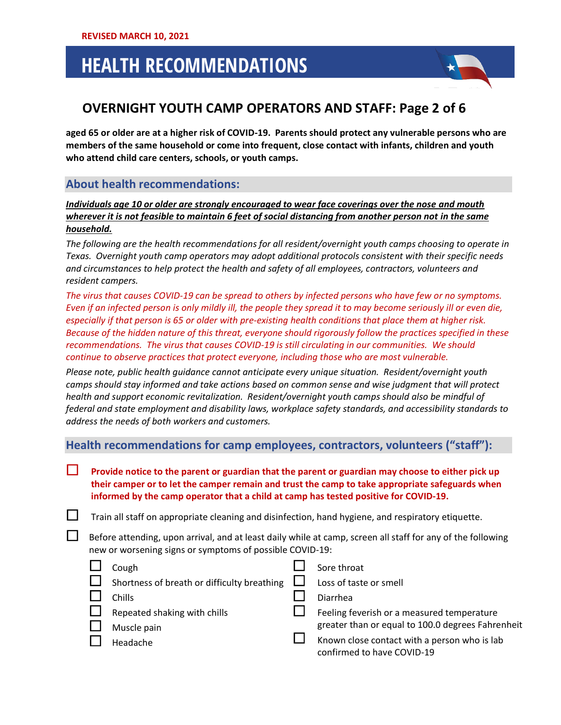

### **OVERNIGHT YOUTH CAMP OPERATORS AND STAFF: Page 2 of 6**

**aged 65 or older are at a higher risk of COVID-19. Parents should protect any vulnerable persons who are members of the same household or come into frequent, close contact with infants, children and youth who attend child care centers, schools, or youth camps.**

### **About health recommendations:**

*Individuals age 10 or older are strongly encouraged to wear face coverings over the nose and mouth wherever it is not feasible to maintain 6 feet of social distancing from another person not in the same household.*

*The following are the health recommendations for all resident/overnight youth camps choosing to operate in Texas. Overnight youth camp operators may adopt additional protocols consistent with their specific needs and circumstances to help protect the health and safety of all employees, contractors, volunteers and resident campers.*

*The virus that causes COVID-19 can be spread to others by infected persons who have few or no symptoms. Even if an infected person is only mildly ill, the people they spread it to may become seriously ill or even die, especially if that person is 65 or older with pre-existing health conditions that place them at higher risk. Because of the hidden nature of this threat, everyone should rigorously follow the practices specified in these recommendations. The virus that causes COVID-19 is still circulating in our communities. We should continue to observe practices that protect everyone, including those who are most vulnerable.*

*Please note, public health guidance cannot anticipate every unique situation. Resident/overnight youth camps should stay informed and take actions based on common sense and wise judgment that will protect health and support economic revitalization. Resident/overnight youth camps should also be mindful of federal and state employment and disability laws, workplace safety standards, and accessibility standards to address the needs of both workers and customers.*

**Health recommendations for camp employees, contractors, volunteers ("staff"):**

 **Provide notice to the parent or guardian that the parent or guardian may choose to either pick up their camper or to let the camper remain and trust the camp to take appropriate safeguards when informed by the camp operator that a child at camp has tested positive for COVID-19.**

 $\Box$  Train all staff on appropriate cleaning and disinfection, hand hygiene, and respiratory etiquette.

 Before attending, upon arrival, and at least daily while at camp, screen all staff for any of the following new or worsening signs or symptoms of possible COVID-19:

| Cough                                         | Sore throat                                                                |
|-----------------------------------------------|----------------------------------------------------------------------------|
| Shortness of breath or difficulty breathing L | Loss of taste or smell                                                     |
| Chills                                        | Diarrhea                                                                   |
| Repeated shaking with chills                  | Feeling feverish or a measured temperature                                 |
| Muscle pain                                   | greater than or equal to 100.0 degrees Fahrenheit                          |
| Headache                                      | Known close contact with a person who is lab<br>confirmed to have COVID-19 |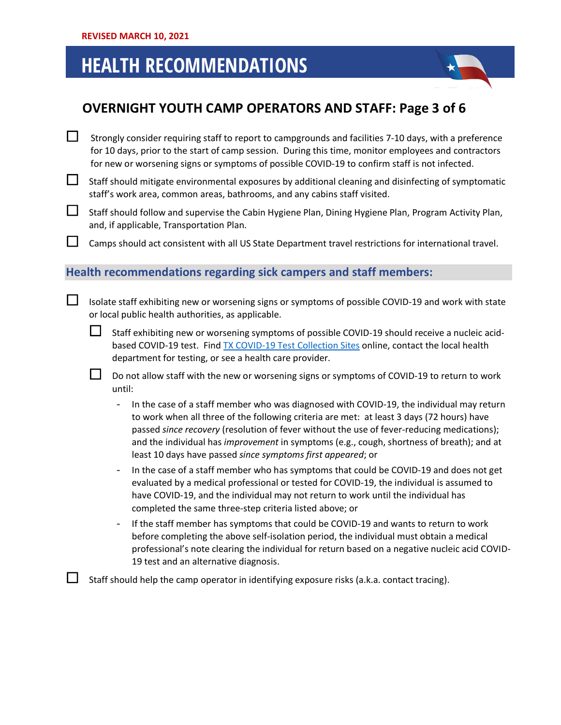

### **OVERNIGHT YOUTH CAMP OPERATORS AND STAFF: Page 3 of 6**

- $\Box$  Strongly consider requiring staff to report to campgrounds and facilities 7-10 days, with a preference for 10 days, prior to the start of camp session. During this time, monitor employees and contractors for new or worsening signs or symptoms of possible COVID-19 to confirm staff is not infected.
- $\Box$  Staff should mitigate environmental exposures by additional cleaning and disinfecting of symptomatic staff's work area, common areas, bathrooms, and any cabins staff visited.
- Staff should follow and supervise the Cabin Hygiene Plan, Dining Hygiene Plan, Program Activity Plan, and, if applicable, Transportation Plan.

Camps should act consistent with all US State Department travel restrictions for international travel.

### **Health recommendations regarding sick campers and staff members:**

- $\Box$  Isolate staff exhibiting new or worsening signs or symptoms of possible COVID-19 and work with state or local public health authorities, as applicable.
	- Staff exhibiting new or worsening symptoms of possible COVID-19 should receive a nucleic acid-based COVID-19 test. Find [TX COVID-19 Test Collection Sites](https://txdps.maps.arcgis.com/apps/webappviewer/index.html?id=8bf7c6a436a64bfe9a5ce25be580e4ff) online, contact the local health department for testing, or see a health care provider.

 $\Box$  Do not allow staff with the new or worsening signs or symptoms of COVID-19 to return to work until:

- In the case of a staff member who was diagnosed with COVID-19, the individual may return to work when all three of the following criteria are met: at least 3 days (72 hours) have passed *since recovery* (resolution of fever without the use of fever-reducing medications); and the individual has *improvement* in symptoms (e.g., cough, shortness of breath); and at least 10 days have passed *since symptoms first appeared*; or
- In the case of a staff member who has symptoms that could be COVID-19 and does not get evaluated by a medical professional or tested for COVID-19, the individual is assumed to have COVID-19, and the individual may not return to work until the individual has completed the same three-step criteria listed above; or
- If the staff member has symptoms that could be COVID-19 and wants to return to work before completing the above self-isolation period, the individual must obtain a medical professional's note clearing the individual for return based on a negative nucleic acid COVID-19 test and an alternative diagnosis.

 $\Box$  Staff should help the camp operator in identifying exposure risks (a.k.a. contact tracing).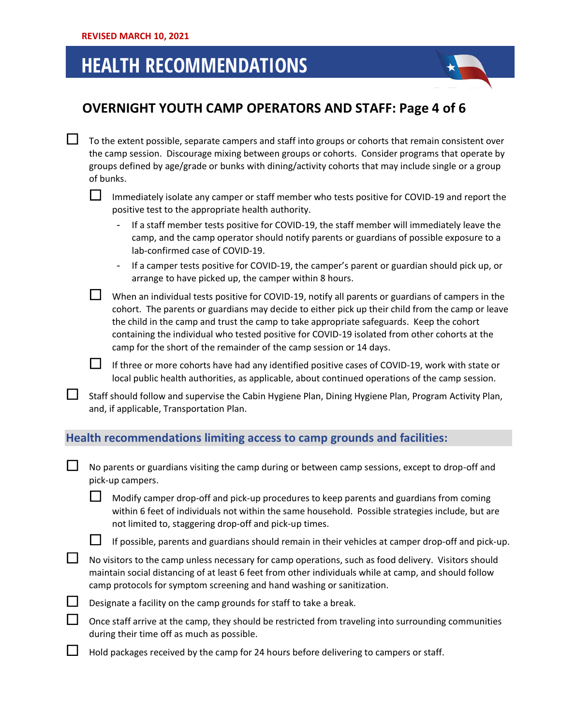

### **OVERNIGHT YOUTH CAMP OPERATORS AND STAFF: Page 4 of 6**

 $\Box$  To the extent possible, separate campers and staff into groups or cohorts that remain consistent over the camp session. Discourage mixing between groups or cohorts. Consider programs that operate by groups defined by age/grade or bunks with dining/activity cohorts that may include single or a group of bunks.

 $\Box$  Immediately isolate any camper or staff member who tests positive for COVID-19 and report the positive test to the appropriate health authority.

- If a staff member tests positive for COVID-19, the staff member will immediately leave the camp, and the camp operator should notify parents or guardians of possible exposure to a lab-confirmed case of COVID-19.
- If a camper tests positive for COVID-19, the camper's parent or guardian should pick up, or arrange to have picked up, the camper within 8 hours.

When an individual tests positive for COVID-19, notify all parents or guardians of campers in the cohort. The parents or guardians may decide to either pick up their child from the camp or leave the child in the camp and trust the camp to take appropriate safeguards. Keep the cohort containing the individual who tested positive for COVID-19 isolated from other cohorts at the camp for the short of the remainder of the camp session or 14 days.

If three or more cohorts have had any identified positive cases of COVID-19, work with state or local public health authorities, as applicable, about continued operations of the camp session.

Staff should follow and supervise the Cabin Hygiene Plan, Dining Hygiene Plan, Program Activity Plan, and, if applicable, Transportation Plan.

### **Health recommendations limiting access to camp grounds and facilities:**

| No parents or guardians visiting the camp during or between camp sessions, except to drop-off and |
|---------------------------------------------------------------------------------------------------|
| pick-up campers.                                                                                  |

 Modify camper drop-off and pick-up procedures to keep parents and guardians from coming within 6 feet of individuals not within the same household. Possible strategies include, but are not limited to, staggering drop-off and pick-up times.

If possible, parents and guardians should remain in their vehicles at camper drop-off and pick-up.

 $\Box$  No visitors to the camp unless necessary for camp operations, such as food delivery. Visitors should maintain social distancing of at least 6 feet from other individuals while at camp, and should follow camp protocols for symptom screening and hand washing or sanitization.

| Designate a facility on the camp grounds for staff to take a break. |  |
|---------------------------------------------------------------------|--|
|---------------------------------------------------------------------|--|

| ட | Once staff arrive at the camp, they should be restricted from traveling into surrounding communities |
|---|------------------------------------------------------------------------------------------------------|
|   | during their time off as much as possible.                                                           |

Hold packages received by the camp for 24 hours before delivering to campers or staff.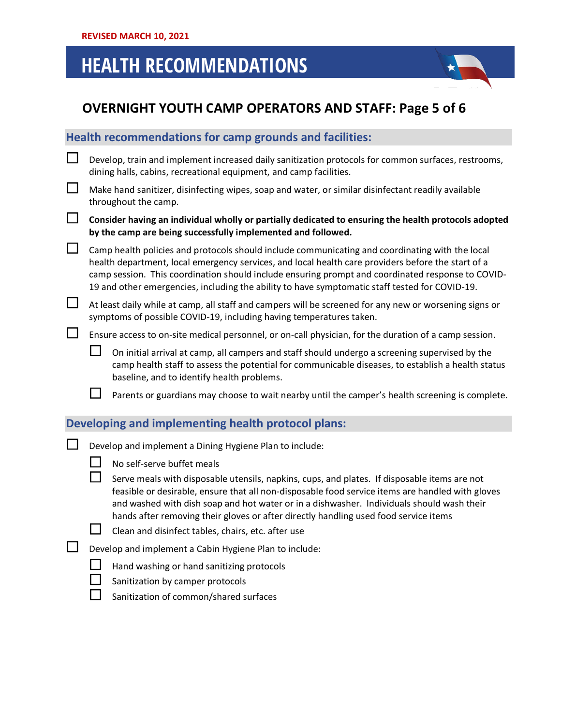## **OVERNIGHT YOUTH CAMP OPERATORS AND STAFF: Page 5 of 6**

|   |                                                                                                                                                                      | Health recommendations for camp grounds and facilities:                                                                                                                                                                                                                                                                                                                                                      |  |  |
|---|----------------------------------------------------------------------------------------------------------------------------------------------------------------------|--------------------------------------------------------------------------------------------------------------------------------------------------------------------------------------------------------------------------------------------------------------------------------------------------------------------------------------------------------------------------------------------------------------|--|--|
|   |                                                                                                                                                                      | Develop, train and implement increased daily sanitization protocols for common surfaces, restrooms,<br>dining halls, cabins, recreational equipment, and camp facilities.                                                                                                                                                                                                                                    |  |  |
| 니 |                                                                                                                                                                      | Make hand sanitizer, disinfecting wipes, soap and water, or similar disinfectant readily available<br>throughout the camp.                                                                                                                                                                                                                                                                                   |  |  |
| ப | Consider having an individual wholly or partially dedicated to ensuring the health protocols adopted<br>by the camp are being successfully implemented and followed. |                                                                                                                                                                                                                                                                                                                                                                                                              |  |  |
|   |                                                                                                                                                                      | Camp health policies and protocols should include communicating and coordinating with the local<br>health department, local emergency services, and local health care providers before the start of a<br>camp session. This coordination should include ensuring prompt and coordinated response to COVID-<br>19 and other emergencies, including the ability to have symptomatic staff tested for COVID-19. |  |  |
|   |                                                                                                                                                                      | At least daily while at camp, all staff and campers will be screened for any new or worsening signs or<br>symptoms of possible COVID-19, including having temperatures taken.                                                                                                                                                                                                                                |  |  |
|   | Ensure access to on-site medical personnel, or on-call physician, for the duration of a camp session.                                                                |                                                                                                                                                                                                                                                                                                                                                                                                              |  |  |
|   |                                                                                                                                                                      | On initial arrival at camp, all campers and staff should undergo a screening supervised by the<br>camp health staff to assess the potential for communicable diseases, to establish a health status<br>baseline, and to identify health problems.                                                                                                                                                            |  |  |
|   |                                                                                                                                                                      | Parents or guardians may choose to wait nearby until the camper's health screening is complete.                                                                                                                                                                                                                                                                                                              |  |  |
|   |                                                                                                                                                                      | Developing and implementing health protocol plans:                                                                                                                                                                                                                                                                                                                                                           |  |  |
|   |                                                                                                                                                                      | Develop and implement a Dining Hygiene Plan to include:<br>No self-serve buffet meals                                                                                                                                                                                                                                                                                                                        |  |  |
|   |                                                                                                                                                                      | Serve meals with disposable utensils, napkins, cups, and plates. If disposable items are not<br>feasible or desirable, ensure that all non-disposable food service items are handled with gloves<br>and washed with dish soap and hot water or in a dishwasher. Individuals should wash their<br>hands after removing their gloves or after directly handling used food service items                        |  |  |
|   |                                                                                                                                                                      | Clean and disinfect tables, chairs, etc. after use                                                                                                                                                                                                                                                                                                                                                           |  |  |
|   |                                                                                                                                                                      | Develop and implement a Cabin Hygiene Plan to include:                                                                                                                                                                                                                                                                                                                                                       |  |  |
|   |                                                                                                                                                                      | Hand washing or hand sanitizing protocols<br>Sanitization by camper protocols                                                                                                                                                                                                                                                                                                                                |  |  |
|   |                                                                                                                                                                      |                                                                                                                                                                                                                                                                                                                                                                                                              |  |  |

Sanitization of common/shared surfaces